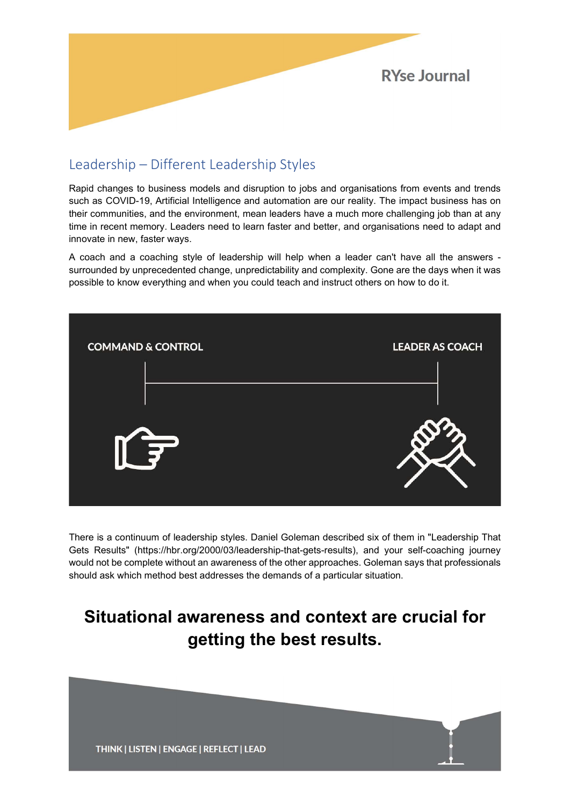

# Leadership – Different Leadership Styles

Rapid changes to business models and disruption to jobs and organisations from events and trends such as COVID-19, Artificial Intelligence and automation are our reality. The impact business has on their communities, and the environment, mean leaders have a much more challenging job than at any time in recent memory. Leaders need to learn faster and better, and organisations need to adapt and innovate in new, faster ways.

A coach and a coaching style of leadership will help when a leader can't have all the answers surrounded by unprecedented change, unpredictability and complexity. Gone are the days when it was possible to know everything and when you could teach and instruct others on how to do it.



There is a continuum of leadership styles. Daniel Goleman described six of them in "Leadership That Gets Results" (https://hbr.org/2000/03/leadership-that-gets-results), and your self-coaching journey would not be complete without an awareness of the other approaches. Goleman says that professionals should ask which method best addresses the demands of a particular situation.

# Situational awareness and context are crucial for getting the best results.

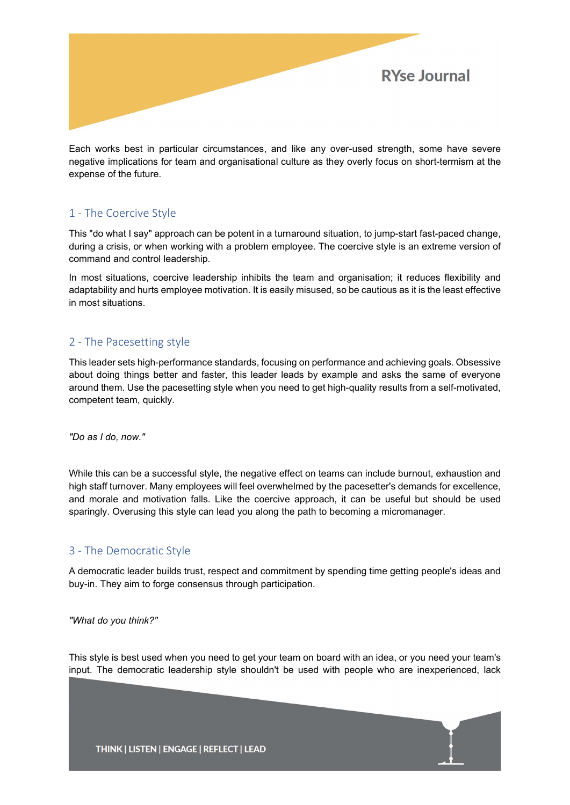

Each works best in particular circumstances, and like any over-used strength, some have severe negative implications for team and organisational culture as they overly focus on short-termism at the expense of the future.

## 1 - The Coercive Style

This "do what I say" approach can be potent in a turnaround situation, to jump-start fast-paced change, during a crisis, or when working with a problem employee. The coercive style is an extreme version of command and control leadership.

In most situations, coercive leadership inhibits the team and organisation; it reduces flexibility and adaptability and hurts employee motivation. It is easily misused, so be cautious as it is the least effective in most situations.

## 2 - The Pacesetting style

This leader sets high-performance standards, focusing on performance and achieving goals. Obsessive about doing things better and faster, this leader leads by example and asks the same of everyone around them. Use the pacesetting style when you need to get high-quality results from a self-motivated, competent team, quickly.

"Do as I do, now."

While this can be a successful style, the negative effect on teams can include burnout, exhaustion and high staff turnover. Many employees will feel overwhelmed by the pacesetter's demands for excellence, and morale and motivation falls. Like the coercive approach, it can be useful but should be used sparingly. Overusing this style can lead you along the path to becoming a micromanager.

## 3 - The Democratic Style

A democratic leader builds trust, respect and commitment by spending time getting people's ideas and buy-in. They aim to forge consensus through participation.

#### "What do you think?"

This style is best used when you need to get your team on board with an idea, or you need your team's input. The democratic leadership style shouldn't be used with people who are inexperienced, lack

 $\mathsf{I}$ 

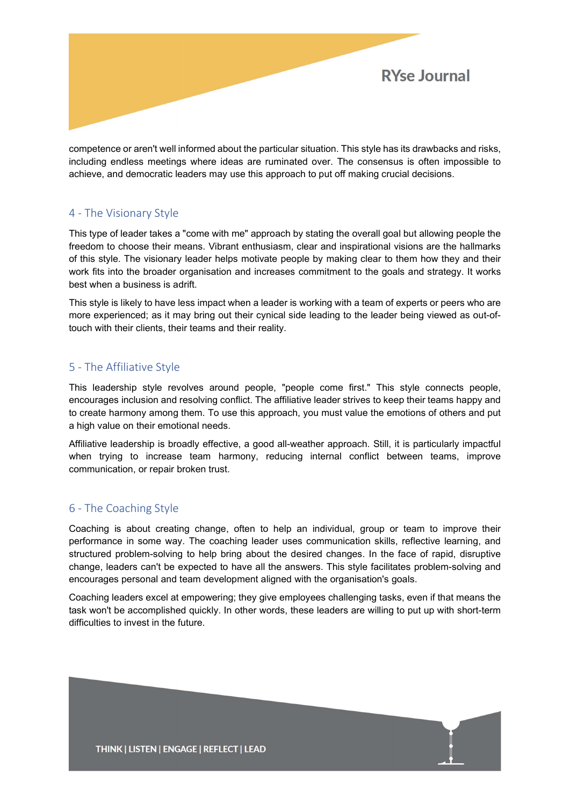

competence or aren't well informed about the particular situation. This style has its drawbacks and risks, including endless meetings where ideas are ruminated over. The consensus is often impossible to achieve, and democratic leaders may use this approach to put off making crucial decisions.

#### 4 - The Visionary Style

This type of leader takes a "come with me" approach by stating the overall goal but allowing people the freedom to choose their means. Vibrant enthusiasm, clear and inspirational visions are the hallmarks of this style. The visionary leader helps motivate people by making clear to them how they and their work fits into the broader organisation and increases commitment to the goals and strategy. It works best when a business is adrift.

This style is likely to have less impact when a leader is working with a team of experts or peers who are more experienced; as it may bring out their cynical side leading to the leader being viewed as out-oftouch with their clients, their teams and their reality.

#### 5 - The Affiliative Style

This leadership style revolves around people, "people come first." This style connects people, encourages inclusion and resolving conflict. The affiliative leader strives to keep their teams happy and to create harmony among them. To use this approach, you must value the emotions of others and put a high value on their emotional needs.

Affiliative leadership is broadly effective, a good all-weather approach. Still, it is particularly impactful when trying to increase team harmony, reducing internal conflict between teams, improve communication, or repair broken trust.

## 6 - The Coaching Style

Coaching is about creating change, often to help an individual, group or team to improve their performance in some way. The coaching leader uses communication skills, reflective learning, and structured problem-solving to help bring about the desired changes. In the face of rapid, disruptive change, leaders can't be expected to have all the answers. This style facilitates problem-solving and encourages personal and team development aligned with the organisation's goals.

Coaching leaders excel at empowering; they give employees challenging tasks, even if that means the task won't be accomplished quickly. In other words, these leaders are willing to put up with short-term difficulties to invest in the future.